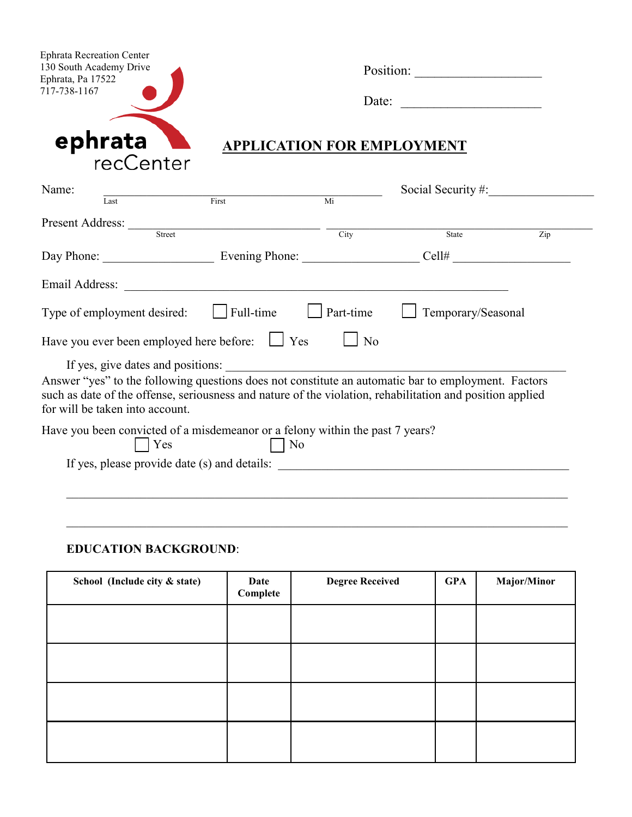| <b>Ephrata Recreation Center</b><br>130 South Academy Drive<br>Ephrata, Pa 17522                                                                                                                                                                                                         |                                   |                 |                           |                  |  |
|------------------------------------------------------------------------------------------------------------------------------------------------------------------------------------------------------------------------------------------------------------------------------------------|-----------------------------------|-----------------|---------------------------|------------------|--|
| 717-738-1167                                                                                                                                                                                                                                                                             |                                   | Date:           |                           |                  |  |
| ephrata                                                                                                                                                                                                                                                                                  | <b>APPLICATION FOR EMPLOYMENT</b> |                 |                           |                  |  |
| recCenter                                                                                                                                                                                                                                                                                |                                   |                 |                           |                  |  |
| Name:                                                                                                                                                                                                                                                                                    | First                             | $\overline{Mi}$ | Social Security $#$ :     |                  |  |
| Last                                                                                                                                                                                                                                                                                     |                                   |                 |                           |                  |  |
| Present Address: Street Street City                                                                                                                                                                                                                                                      |                                   |                 | State                     | $\overline{Zip}$ |  |
|                                                                                                                                                                                                                                                                                          |                                   |                 |                           |                  |  |
| Email Address: <u>New York: Andreas State and Address</u> and Address and Address and Address and Address and Address and Address and Address and Address and Address and Address and Address and Address and Address and Address a                                                      |                                   |                 |                           |                  |  |
| Type of employment desired: $\Box$ Full-time $\Box$ Part-time                                                                                                                                                                                                                            |                                   |                 | $\Box$ Temporary/Seasonal |                  |  |
| Have you ever been employed here before: $\Box$ Yes                                                                                                                                                                                                                                      |                                   | $\Box$ No       |                           |                  |  |
| If yes, give dates and positions:<br>Answer "yes" to the following questions does not constitute an automatic bar to employment. Factors<br>such as date of the offense, seriousness and nature of the violation, rehabilitation and position applied<br>for will be taken into account. |                                   |                 |                           |                  |  |
| Have you been convicted of a misdemeanor or a felony within the past 7 years?                                                                                                                                                                                                            | $\vert$ No                        |                 |                           |                  |  |
| Yes                                                                                                                                                                                                                                                                                      |                                   |                 |                           |                  |  |

## **EDUCATION BACKGROUND**:

| School (Include city & state) | Date<br>Complete | <b>Degree Received</b> | <b>GPA</b> | Major/Minor |
|-------------------------------|------------------|------------------------|------------|-------------|
|                               |                  |                        |            |             |
|                               |                  |                        |            |             |
|                               |                  |                        |            |             |
|                               |                  |                        |            |             |

 $\mathcal{L}_\mathcal{L} = \mathcal{L}_\mathcal{L} = \mathcal{L}_\mathcal{L} = \mathcal{L}_\mathcal{L} = \mathcal{L}_\mathcal{L} = \mathcal{L}_\mathcal{L} = \mathcal{L}_\mathcal{L} = \mathcal{L}_\mathcal{L} = \mathcal{L}_\mathcal{L} = \mathcal{L}_\mathcal{L} = \mathcal{L}_\mathcal{L} = \mathcal{L}_\mathcal{L} = \mathcal{L}_\mathcal{L} = \mathcal{L}_\mathcal{L} = \mathcal{L}_\mathcal{L} = \mathcal{L}_\mathcal{L} = \mathcal{L}_\mathcal{L}$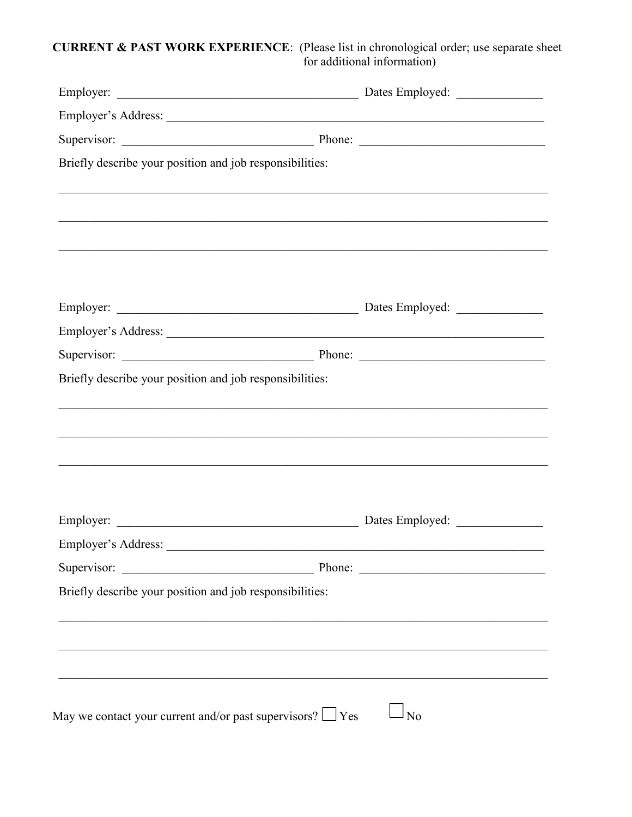## **CURRENT & PAST WORK EXPERIENCE:** (Please list in chronological order; use separate sheet for additional information)

| Briefly describe your position and job responsibilities:                          |              |
|-----------------------------------------------------------------------------------|--------------|
|                                                                                   |              |
|                                                                                   |              |
|                                                                                   |              |
|                                                                                   |              |
|                                                                                   |              |
|                                                                                   |              |
|                                                                                   |              |
| Briefly describe your position and job responsibilities:                          |              |
|                                                                                   |              |
|                                                                                   |              |
|                                                                                   |              |
|                                                                                   |              |
| ,我们也不能在这里的人,我们也不能在这里的人,我们也不能在这里的人,我们也不能在这里的人,我们也不能在这里的人,我们也不能在这里的人,我们也不能在这里的人,我们也 |              |
|                                                                                   |              |
|                                                                                   |              |
| Employer's Address:                                                               |              |
|                                                                                   |              |
| Briefly describe your position and job responsibilities:                          |              |
|                                                                                   |              |
|                                                                                   |              |
|                                                                                   |              |
|                                                                                   |              |
|                                                                                   |              |
| May we contact your current and/or past supervisors? $\Box$ Yes                   | $1_{\rm No}$ |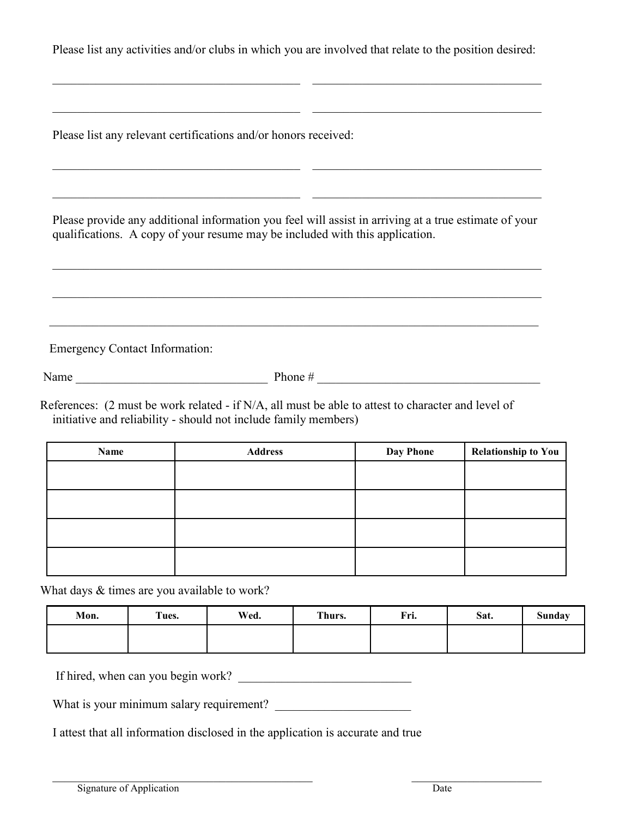Please list any activities and/or clubs in which you are involved that relate to the position desired:

 $\mathcal{L}_\text{max}$  , and the contribution of the contribution of the contribution of the contribution of the contribution of the contribution of the contribution of the contribution of the contribution of the contribution of t

\_\_\_\_\_\_\_\_\_\_\_\_\_\_\_\_\_\_\_\_\_\_\_\_\_\_\_\_\_\_\_\_\_\_\_\_\_\_\_\_ \_\_\_\_\_\_\_\_\_\_\_\_\_\_\_\_\_\_\_\_\_\_\_\_\_\_\_\_\_\_\_\_\_\_\_\_\_

 $\_$  ,  $\_$  ,  $\_$  ,  $\_$  ,  $\_$  ,  $\_$  ,  $\_$  ,  $\_$  ,  $\_$  ,  $\_$  ,  $\_$  ,  $\_$  ,  $\_$  ,  $\_$  ,  $\_$  ,  $\_$  ,  $\_$  ,  $\_$  ,  $\_$  ,  $\_$  ,  $\_$  ,  $\_$  ,  $\_$  ,  $\_$  ,  $\_$  ,  $\_$  ,  $\_$  ,  $\_$  ,  $\_$  ,  $\_$  ,  $\_$  ,  $\_$  ,  $\_$  ,  $\_$  ,  $\_$  ,  $\_$  ,  $\_$  ,

\_\_\_\_\_\_\_\_\_\_\_\_\_\_\_\_\_\_\_\_\_\_\_\_\_\_\_\_\_\_\_\_\_\_\_\_\_\_\_\_ \_\_\_\_\_\_\_\_\_\_\_\_\_\_\_\_\_\_\_\_\_\_\_\_\_\_\_\_\_\_\_\_\_\_\_\_\_

Please list any relevant certifications and/or honors received:

 Please provide any additional information you feel will assist in arriving at a true estimate of your qualifications. A copy of your resume may be included with this application.

 $\mathcal{L}_\text{max}$  , and the contribution of the contribution of the contribution of the contribution of the contribution of the contribution of the contribution of the contribution of the contribution of the contribution of t

 $\mathcal{L}_\text{max}$  , and the contribution of the contribution of the contribution of the contribution of the contribution of the contribution of the contribution of the contribution of the contribution of the contribution of t

 $\mathcal{L}_\mathcal{L} = \{ \mathcal{L}_\mathcal{L} = \{ \mathcal{L}_\mathcal{L} = \{ \mathcal{L}_\mathcal{L} = \{ \mathcal{L}_\mathcal{L} = \{ \mathcal{L}_\mathcal{L} = \{ \mathcal{L}_\mathcal{L} = \{ \mathcal{L}_\mathcal{L} = \{ \mathcal{L}_\mathcal{L} = \{ \mathcal{L}_\mathcal{L} = \{ \mathcal{L}_\mathcal{L} = \{ \mathcal{L}_\mathcal{L} = \{ \mathcal{L}_\mathcal{L} = \{ \mathcal{L}_\mathcal{L} = \{ \mathcal{L}_\mathcal{$ 

Emergency Contact Information:

Name  $\Box$  Phone  $\#$ 

References: (2 must be work related - if N/A, all must be able to attest to character and level of initiative and reliability - should not include family members)

| Name | <b>Address</b> | <b>Day Phone</b> | <b>Relationship to You</b> |  |
|------|----------------|------------------|----------------------------|--|
|      |                |                  |                            |  |
|      |                |                  |                            |  |
|      |                |                  |                            |  |
|      |                |                  |                            |  |

What days  $&$  times are you available to work?

| Mon. | Tues. | Wed. | Thurs. | Fri. | Sat. | <b>Sunday</b> |
|------|-------|------|--------|------|------|---------------|
|      |       |      |        |      |      |               |

 $\mathcal{L}_\text{max}$  , and the contribution of the contribution of the contribution of the contribution of the contribution of the contribution of the contribution of the contribution of the contribution of the contribution of t

If hired, when can you begin work?

What is your minimum salary requirement?

I attest that all information disclosed in the application is accurate and true